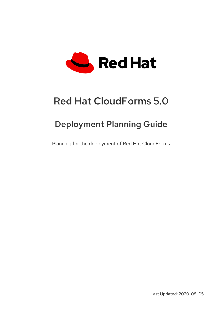

# Red Hat CloudForms 5.0

# Deployment Planning Guide

Planning for the deployment of Red Hat CloudForms

Last Updated: 2020-08-05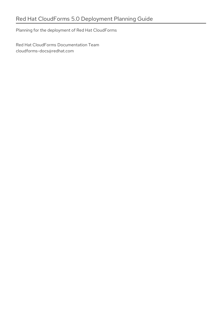Planning for the deployment of Red Hat CloudForms

Red Hat CloudForms Documentation Team cloudforms-docs@redhat.com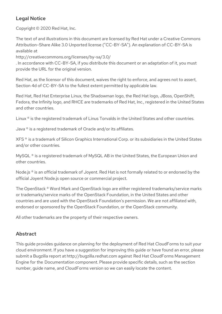# Legal Notice

Copyright © 2020 Red Hat, Inc.

The text of and illustrations in this document are licensed by Red Hat under a Creative Commons Attribution–Share Alike 3.0 Unported license ("CC-BY-SA"). An explanation of CC-BY-SA is available at

http://creativecommons.org/licenses/by-sa/3.0/

. In accordance with CC-BY-SA, if you distribute this document or an adaptation of it, you must provide the URL for the original version.

Red Hat, as the licensor of this document, waives the right to enforce, and agrees not to assert, Section 4d of CC-BY-SA to the fullest extent permitted by applicable law.

Red Hat, Red Hat Enterprise Linux, the Shadowman logo, the Red Hat logo, JBoss, OpenShift, Fedora, the Infinity logo, and RHCE are trademarks of Red Hat, Inc., registered in the United States and other countries.

Linux ® is the registered trademark of Linus Torvalds in the United States and other countries.

Java ® is a registered trademark of Oracle and/or its affiliates.

XFS ® is a trademark of Silicon Graphics International Corp. or its subsidiaries in the United States and/or other countries.

MySQL<sup>®</sup> is a registered trademark of MySQL AB in the United States, the European Union and other countries.

Node.js ® is an official trademark of Joyent. Red Hat is not formally related to or endorsed by the official Joyent Node.js open source or commercial project.

The OpenStack ® Word Mark and OpenStack logo are either registered trademarks/service marks or trademarks/service marks of the OpenStack Foundation, in the United States and other countries and are used with the OpenStack Foundation's permission. We are not affiliated with, endorsed or sponsored by the OpenStack Foundation, or the OpenStack community.

All other trademarks are the property of their respective owners.

# Abstract

This guide provides guidance on planning for the deployment of Red Hat CloudForms to suit your cloud environment. If you have a suggestion for improving this guide or have found an error, please submit a Bugzilla report at http://bugzilla.redhat.com against Red Hat CloudForms Management Engine for the Documentation component. Please provide specific details, such as the section number, guide name, and CloudForms version so we can easily locate the content.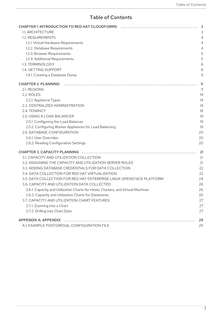# Table of Contents

| 1.1. ARCHITECTURE                                                                |    |
|----------------------------------------------------------------------------------|----|
| 1.2. REQUIREMENTS                                                                |    |
| 1.2.1. Virtual Hardware Requirements                                             |    |
| 1.2.2. Database Requirements                                                     |    |
| 1.2.3. Browser Requirements                                                      |    |
| 1.2.4. Additional Requirements                                                   |    |
| 1.3. TERMINOLOGY                                                                 |    |
| 1.4. GETTING SUPPORT                                                             |    |
| 1.4.1. Creating a Database Dump                                                  |    |
| <b>CHAPTER 2. PLANNING</b>                                                       |    |
| 2.1. REGIONS                                                                     |    |
| 2.2. ROLES                                                                       |    |
| 2.2.1. Appliance Types                                                           |    |
| 2.3. CENTRALIZED ADMINISTRATION                                                  |    |
| 2.4. TENANCY                                                                     |    |
| 2.5. USING A LOAD BALANCER                                                       |    |
| 2.5.1. Configuring the Load Balancer                                             | 1C |
| 2.5.2. Configuring Worker Appliances for Load Balancing                          | 19 |
| 2.6. DATABASE CONFIGURATION                                                      | 2С |
| 2.6.1. User Overrides                                                            | 20 |
| 2.6.2. Reading Configuration Settings                                            | 20 |
| <b>CHAPTER 3. CAPACITY PLANNING</b>                                              | 21 |
| 3.1. CAPACITY AND UTILIZATION COLLECTION                                         | 21 |
| 3.2. ASSIGNING THE CAPACITY AND UTILIZATION SERVER ROLES                         | 21 |
| 3.3. ADDING DATABASE CREDENTIALS FOR DATA COLLECTION                             | 22 |
| 3.4. DATA COLLECTION FOR RED HAT VIRTUALIZATION                                  | 22 |
| 3.5. DATA COLLECTION FOR RED HAT ENTERPRISE LINUX OPENSTACK PLATFORM             | 24 |
| 3.6. CAPACITY AND UTILIZATION DATA COLLECTED                                     | 26 |
| 3.6.1. Capacity and Utilization Charts for Hosts, Clusters, and Virtual Machines | 26 |
| 3.6.2. Capacity and Utilization Charts for Datastores                            | 26 |
| 3.7. CAPACITY AND UTILIZATION CHART FEATURES                                     | 27 |
| 3.7.1. Zooming into a Chart                                                      | 27 |
| 3.7.2. Drilling into Chart Data                                                  | 27 |
|                                                                                  | 29 |
| A.1. EXAMPLE POSTGRESQL CONFIGURATION FILE                                       | 29 |
|                                                                                  |    |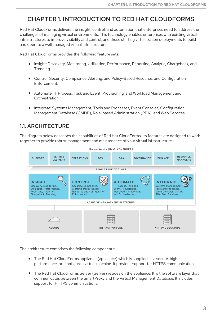# <span id="page-6-0"></span>CHAPTER 1. INTRODUCTION TO RED HAT CLOUDFORMS

Red Hat CloudForms delivers the insight, control, and automation that enterprises need to address the challenges of managing virtual environments. This technology enables enterprises with existing virtual infrastructures to improve visibility and control, and those starting virtualization deployments to build and operate a well-managed virtual infrastructure.

Red Hat CloudForms provides the following feature sets:

- Insight: Discovery, Monitoring, Utilization, Performance, Reporting, Analytic, Chargeback, and Trending.
- Control: Security, Compliance, Alerting, and Policy-Based Resource, and Configuration Enforcement.
- Automate: IT Process, Task and Event, Provisioning, and Workload Management and Orchestration.
- Integrate: Systems Management, Tools and Processes, Event Consoles, Configuration Management Database (CMDB), Role-based Administration (RBA), and Web Services.

# <span id="page-6-1"></span>1.1. ARCHITECTURE

The diagram below describes the capabilities of Red Hat CloudForms. Its features are designed to work together to provide robust management and maintenance of your virtual infrastructure.



The architecture comprises the following components:

- The Red Hat CloudForms appliance (appliance) which is supplied as a secure, highperformance, preconfigured virtual machine. It provides support for HTTPS communications.
- The Red Hat CloudForms Server (Server) resides on the appliance. It is the software layer that communicates between the SmartProxy and the Virtual Management Database. It includes support for HTTPS communications.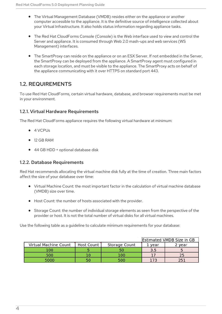- The Virtual Management Database (VMDB) resides either on the appliance or another computer accessible to the appliance. It is the definitive source of intelligence collected about your Virtual Infrastructure. It also holds status information regarding appliance tasks.
- The Red Hat CloudForms Console (Console) is the Web interface used to view and control the Server and appliance. It is consumed through Web 2.0 mash-ups and web services (WS Management) interfaces.
- The SmartProxy can reside on the appliance or on an ESX Server. If not embedded in the Server, the SmartProxy can be deployed from the appliance. A SmartProxy agent must configured in each storage location, and must be visible to the appliance. The SmartProxy acts on behalf of the appliance communicating with it over HTTPS on standard port 443.

# <span id="page-7-0"></span>1.2. REQUIREMENTS

To use Red Hat CloudForms, certain virtual hardware, database, and browser requirements must be met in your environment.

# <span id="page-7-1"></span>1.2.1. Virtual Hardware Requirements

The Red Hat CloudForms appliance requires the following virtual hardware at minimum:

- 4 VCPUs
- 12 GB RAM
- 44 GB HDD + optional database disk

# <span id="page-7-2"></span>1.2.2. Database Requirements

Red Hat recommends allocating the virtual machine disk fully at the time of creation. Three main factors affect the size of your database over time:

- Virtual Machine Count: the most important factor in the calculation of virtual machine database (VMDB) size over time.
- Host Count: the number of hosts associated with the provider.
- Storage Count: the number of individual storage elements as seen from the perspective of the provider or host. It is not the total number of virtual disks for all virtual machines.

Use the following table as a guideline to calculate minimum requirements for your database:

|                       |            |               |      | Estimated VMDB Size in GB |
|-----------------------|------------|---------------|------|---------------------------|
| Virtual Machine Count | Host Count | Storage Count | vear | 2 year                    |
| 100                   |            |               |      |                           |
| 500                   |            | 100           |      |                           |
| 5000                  |            | 500           | 173  |                           |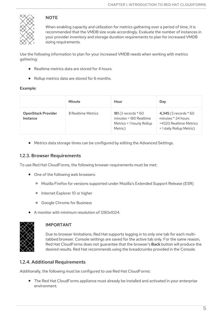

# **NOTE**

When enabling capacity and utilization for metrics gathering over a period of time, it is recommended that the VMDB size scale accordingly. Evaluate the number of instances in your provider inventory and storage duration requirements to plan for increased VMDB sizing requirements.

Use the following information to plan for your increased VMDB needs when working with metrics gathering:

- Realtime metrics data are stored for 4 hours.
- Rollup metrics data are stored for 6 months.

### Example:

|                                       | Minute                    | Hour                                                                                  | Day                                                                                              |
|---------------------------------------|---------------------------|---------------------------------------------------------------------------------------|--------------------------------------------------------------------------------------------------|
| <b>OpenStack Provider</b><br>Instance | <b>3</b> Realtime Metrics | 181 (3 records * 60<br>minutes = 180 Realtime<br>Metrics + 1 hourly Rollup<br>Metric) | 4,345 (3 records * 60<br>minutes * 24 hours<br>=4320 Realtime Metrics<br>+1 daily Rollup Metric) |

Metrics data storage times can be configured by editing the Advanced Settings.

# <span id="page-8-0"></span>1.2.3. Browser Requirements

To use Red Hat CloudForms, the following browser requirements must be met:

- One of the following web browsers:
	- Mozilla Firefox for versions supported under Mozilla's Extended Support Release (ESR)
	- o Internet Explorer 10 or higher
	- Google Chrome for Business
- A monitor with minimum resolution of 1280x1024.



# IMPORTANT

Due to browser limitations, Red Hat supports logging in to only one tab for each multitabbed browser. Console settings are saved for the active tab only. For the same reason, Red Hat CloudForms does not guarantee that the browser's Back button will produce the desired results. Red Hat recommends using the breadcrumbs provided in the Console.

# <span id="page-8-1"></span>1.2.4. Additional Requirements

Additionally, the following must be configured to use Red Hat CloudForms:

The Red Hat CloudForms appliance must already be installed and activated in your enterprise environment.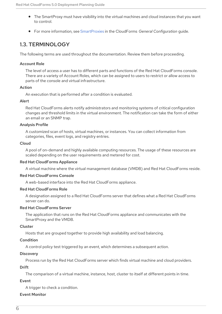- The SmartProxy must have visibility into the virtual machines and cloud instances that you want to control.
- For more information, see [SmartProxies](https://access.redhat.com/documentation/en-us/red_hat_cloudforms/4.2/html-single/general_configuration/#smartproxies) in the CloudForms *General Configuration* guide.

# <span id="page-9-0"></span>1.3. TERMINOLOGY

The following terms are used throughout the documentation. Review them before proceeding.

### Account Role

The level of access a user has to different parts and functions of the Red Hat CloudForms console. There are a variety of Account Roles, which can be assigned to users to restrict or allow access to parts of the console and virtual infrastructure.

### Action

An execution that is performed after a condition is evaluated.

### Alert

Red Hat CloudForms alerts notify administrators and monitoring systems of critical configuration changes and threshold limits in the virtual environment. The notification can take the form of either an email or an SNMP trap.

### Analysis Profile

A customized scan of hosts, virtual machines, or instances. You can collect information from categories, files, event logs, and registry entries.

### Cloud

A pool of on-demand and highly available computing resources. The usage of these resources are scaled depending on the user requirements and metered for cost.

### Red Hat CloudForms Appliance

A virtual machine where the virtual management database (VMDB) and Red Hat CloudForms reside.

### Red Hat CloudForms Console

A web-based interface into the Red Hat CloudForms appliance.

### Red Hat CloudForms Role

A designation assigned to a Red Hat CloudForms server that defines what a Red Hat CloudForms server can do.

### Red Hat CloudForms Server

The application that runs on the Red Hat CloudForms appliance and communicates with the SmartProxy and the VMDB.

### Cluster

Hosts that are grouped together to provide high availability and load balancing.

# Condition

A control policy test triggered by an event, which determines a subsequent action.

### **Discovery**

Process run by the Red Hat CloudForms server which finds virtual machine and cloud providers.

# Drift

The comparison of a virtual machine, instance, host, cluster to itself at different points in time.

# Event

A trigger to check a condition.

# Event Monitor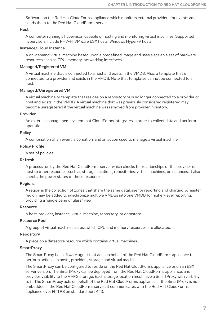Software on the Red Hat CloudForms appliance which monitors external providers for events and sends them to the Red Hat CloudForms server.

#### Host

A computer running a hypervisor, capable of hosting and monitoring virtual machines. Supported hypervisors include RHV-H, VMware ESX hosts, Windows Hyper-V hosts.

#### Instance/Cloud Instance

A on-demand virtual machine based upon a predefined image and uses a scalable set of hardware resources such as CPU, memory, networking interfaces.

#### Managed/Registered VM

A virtual machine that is connected to a host and exists in the VMDB. Also, a template that is connected to a provider and exists in the VMDB. Note that templates cannot be connected to a host.

#### Managed/Unregistered VM

A virtual machine or template that resides on a repository or is no longer connected to a provider or host and exists in the VMDB. A virtual machine that was previously considered registered may become unregistered if the virtual machine was removed from provider inventory.

### Provider

An external management system that CloudForms integrates in order to collect data and perform operations.

#### Policy

A combination of an event, a condition, and an action used to manage a virtual machine.

### Policy Profile

A set of policies.

### Refresh

A process run by the Red Hat CloudForms server which checks for relationships of the provider or host to other resources, such as storage locations, repositories, virtual machines, or instances. It also checks the power states of those resources.

#### Regions

A region is the collection of zones that share the same database for reporting and charting. A master region may be added to synchronize multiple VMDBs into one VMDB for higher-level reporting, providing a "single pane of glass" view.

#### Resource

A host, provider, instance, virtual machine, repository, or datastore.

### Resource Pool

A group of virtual machines across which CPU and memory resources are allocated.

### Repository

A place on a datastore resource which contains virtual machines.

#### **SmartProxy**

The SmartProxy is a software agent that acts on behalf of the Red Hat CloudForms appliance to perform actions on hosts, providers, storage and virtual machines.

The SmartProxy can be configured to reside on the Red Hat CloudForms appliance or on an ESX server version. The SmartProxy can be deployed from the Red Hat CloudForms appliance, and provides visibility to the VMFS storage. Each storage location must have a SmartProxy with visibility to it. The SmartProxy acts on behalf of the Red Hat CloudForms appliance. If the SmartProxy is not embedded in the Red Hat CloudForms server, it communicates with the Red Hat CloudForms appliance over HTTPS on standard port 443.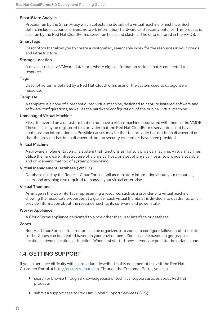### SmartState Analysis

Process run by the SmartProxy which collects the details of a virtual machine or instance. Such details include accounts, drivers, network information, hardware, and security patches. This process is also run by the Red Hat CloudForms server on hosts and clusters. The data is stored in the VMDB.

#### **SmartTags**

Descriptors that allow you to create a customized, searchable index for the resources in your clouds and infrastructure.

#### Storage Location

A device, such as a VMware datastore, where digital information resides that is connected to a resource.

#### Tags

Descriptive terms defined by a Red Hat CloudForms user or the system used to categorize a resource.

#### **Template**

A template is a copy of a preconfigured virtual machine, designed to capture installed software and software configurations, as well as the hardware configuration, of the original virtual machine.

#### Unmanaged Virtual Machine

Files discovered on a datastore that do not have a virtual machine associated with them in the VMDB. These files may be registered to a provider that the Red Hat CloudForms server does not have configuration information on. Possible causes may be that the provider has not been discovered or that the provider has been discovered, but no security credentials have been provided.

#### Virtual Machine

A software implementation of a system that functions similar to a physical machine. Virtual machines utilize the hardware infrastructure of a physical host, or a set of physical hosts, to provide a scalable and on-demand method of system provisioning.

### Virtual Management Database (VMDB)

Database used by the Red Hat CloudForms appliance to store information about your resources, users, and anything else required to manage your virtual enterprise.

### Virtual Thumbnail

An image in the web interface representing a resource, such as a provider or a virtual machine, showing the resource's properties at a glance. Each virtual thumbnail is divided into quadrants, which provide information about the resource, such as its software and power state.

### Worker Appliance

A CloudForms appliance dedicated to a role other than user interface or database.

#### Zones

Red Hat CloudForms Infrastructure can be organized into zones to configure failover and to isolate traffic. Zones can be created based on your environment. Zones can be based on geographic location, network location, or function. When first started, new servers are put into the default zone.

# <span id="page-11-0"></span>1.4. GETTING SUPPORT

If you experience difficulty with a procedure described in this documentation, visit the Red Hat Customer Portal at <http://access.redhat.com>. Through the Customer Portal, you can:

- search or browse through a knowledgebase of technical support articles about Red Hat products
- submit a support case to Red Hat Global Support Services (GSS)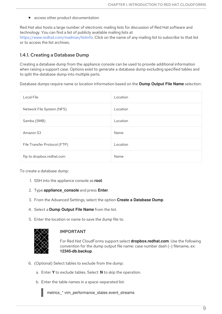access other product documentation

Red Hat also hosts a large number of electronic mailing lists for discussion of Red Hat software and technology. You can find a list of publicly available mailing lists at [https://www.redhat.com/mailman/listinfo.](https://www.redhat.com/mailman/listinfo) Click on the name of any mailing list to subscribe to that list or to access the list archives.

# <span id="page-12-0"></span>1.4.1. Creating a Database Dump

Creating a database dump from the appliance console can be used to provide additional information when raising a support case. Options exist to generate a database dump excluding specified tables and to split the database dump into multiple parts.

Database dumps require name or location information based on the **Dump Output File Name** selection:

| Local File                   | Location |
|------------------------------|----------|
| Network File System (NFS)    | Location |
| Samba (SMB)                  | Location |
| Amazon S3                    | Name     |
| File Transfer Protocol (FTP) | Location |
| ftp to dropbox.redhat.com    | Name     |

To create a database dump:

- 1. SSH into the appliance console as **root**.
- 2. Type **appliance\_console** and press **Enter**.
- 3. From the Advanced Settings, select the option **Create a Database Dump**.
- 4. Select a **Dump Output File Name** from the list.
- 5. Enter the location or name to save the dump file to.



### IMPORTANT

For Red Hat CloudForms support select **dropbox.redhat.com**. Use the following convention for the dump output file name: case number dash (-) filename, ex: **12345-db.backup**.

- 6. (Optional) Select tables to exclude from the dump:
	- a. Enter **Y** to exclude tables. Select **N** to skip the operation.
	- b. Enter the table names in a space-separated list:

metrics \* vim\_performance\_states event\_streams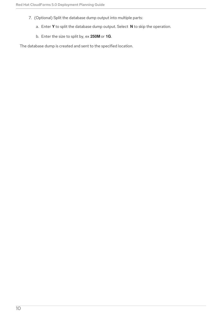- 7. (Optional) Split the database dump output into multiple parts:
	- a. Enter **Y** to split the database dump output. Select **N** to skip the operation.
	- b. Enter the size to split by, ex **250M** or **1G**.

The database dump is created and sent to the specified location.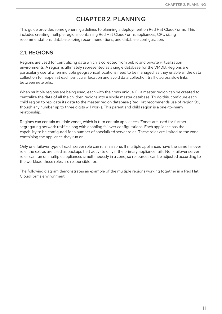# CHAPTER 2. PLANNING

<span id="page-14-0"></span>This guide provides some general guidelines to planning a deployment on Red Hat CloudForms. This includes creating multiple regions containing Red Hat CloudForms appliances, CPU sizing recommendations, database sizing recommendations, and database configuration.

# <span id="page-14-1"></span>2.1. REGIONS

Regions are used for centralizing data which is collected from public and private virtualization environments. A region is ultimately represented as a single database for the VMDB. Regions are particularly useful when multiple geographical locations need to be managed, as they enable all the data collection to happen at each particular location and avoid data collection traffic across slow links between networks.

When multiple regions are being used, each with their own unique ID, a master region can be created to centralize the data of all the children regions into a single master database. To do this, configure each child region to replicate its data to the master region database (Red Hat recommends use of region 99, though any number up to three digits will work). This parent and child region is a one-to-many relationship.

Regions can contain multiple zones, which in turn contain appliances. Zones are used for further segregating network traffic along with enabling failover configurations. Each appliance has the capability to be configured for a number of specialized server roles. These roles are limited to the zone containing the appliance they run on.

Only one failover type of each server role can run in a zone. If multiple appliances have the same failover role, the extras are used as backups that activate only if the primary appliance fails. Non-failover server roles can run on multiple appliances simultaneously in a zone, so resources can be adjusted according to the workload those roles are responsible for.

The following diagram demonstrates an example of the multiple regions working together in a Red Hat CloudForms environment.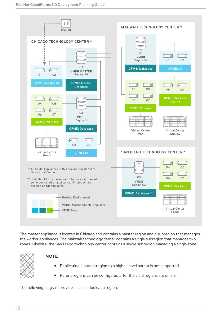

The master appliance is located in Chicago and contains a master region and a subregion that manages the worker appliances. The Mahwah technology center contains a single subregion that manages two zones. Likewise, the San Diego technology center contains a single subregion managing a single zone.



# **NOTE**

- Replicating a parent region to a higher-level parent is not supported.
- Parent regions can be configured after the child regions are online.

The following diagram provides a closer look at a region: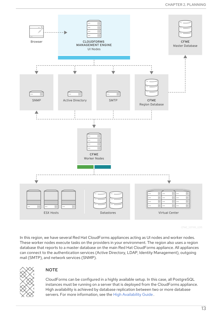

In this region, we have several Red Hat CloudForms appliances acting as UI nodes and worker nodes. These worker nodes execute tasks on the providers in your environment. The region also uses a region database that reports to a master database on the main Red Hat CloudForms appliance. All appliances can connect to the authentication services (Active Directory, LDAP, Identity Management), outgoing mail (SMTP), and network services (SNMP).



# **NOTE**

CloudForms can be configured in a highly available setup. In this case, all PostgreSQL instances must be running on a server that is deployed from the CloudForms appliance. High availability is achieved by database replication between two or more database servers. For more information, see the High [Availability](https://access.redhat.com/documentation/en-us/red_hat_cloudforms/4.7/html-single/high_availability_guide/) Guide .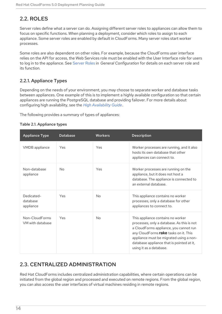# <span id="page-17-0"></span>2.2. ROLES

Server roles define what a server can do. Assigning different server roles to appliances can allow them to focus on specific functions. When planning a deployment, consider which roles to assign to each appliance. Some server roles are enabled by default in CloudForms. Many server roles start worker processes.

Some roles are also dependent on other roles. For example, because the CloudForms user interface relies on the API for access, the Web Services role must be enabled with the User Interface role for users to log in to the appliance. See [Server](https://access.redhat.com/documentation/en-us/red_hat_cloudforms/4.7/html/general_configuration/configuration#server-roles) Roles in *General Configuration* for details on each server role and its function.

# <span id="page-17-1"></span>2.2.1. Appliance Types

Depending on the needs of your environment, you may choose to separate worker and database tasks between appliances. One example of this is to implement a highly available configuration so that certain appliances are running the PostgreSQL database and providing failover. For more details about configuring high availability, see the *High [Availability](https://access.redhat.com/documentation/en-us/red_hat_cloudforms/4.7/html-single/high_availability_guide/) Guide*.

The following provides a summary of types of appliances:

# Table 2.1. Appliance types

| <b>Appliance Type</b>               | <b>Database</b> | <b>Workers</b> | <b>Description</b>                                                                                                                                                                                                                                                                    |
|-------------------------------------|-----------------|----------------|---------------------------------------------------------------------------------------------------------------------------------------------------------------------------------------------------------------------------------------------------------------------------------------|
| <b>VMDB</b> appliance               | Yes             | Yes            | Worker processes are running, and it also<br>hosts its own database that other<br>appliances can connect to.                                                                                                                                                                          |
| Non-database<br>appliance           | No.             | Yes            | Worker processes are running on the<br>appliance, but it does not host a<br>database. The appliance is connected to<br>an external database.                                                                                                                                          |
| Dedicated-<br>database<br>appliance | Yes             | No             | This appliance contains no worker<br>processes, only a database for other<br>appliances to connect to.                                                                                                                                                                                |
| Non-CloudForms<br>VM with database  | Yes             | No             | This appliance contains no worker<br>processes, only a database. As this is not<br>a CloudForms appliance, you cannot run<br>any CloudForms rake tasks on it. This<br>appliance must be migrated using a non-<br>database appliance that is pointed at it,<br>using it as a database. |

# <span id="page-17-2"></span>2.3. CENTRALIZED ADMINISTRATION

Red Hat CloudForms includes centralized administration capabilities, where certain operations can be initiated from the global region and processed and executed on remote regions. From the global region, you can also access the user interfaces of virtual machines residing in remote regions.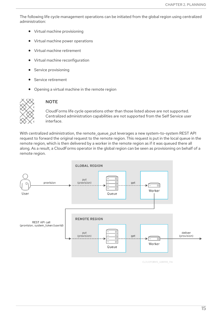The following life cycle management operations can be initiated from the global region using centralized administration:

- Virtual machine provisioning  $\bullet$
- Virtual machine power operations
- Virtual machine retirement
- Virtual machine reconfiguration
- Service provisioning
- Service retirement
- Opening a virtual machine in the remote region



# **NOTE**

CloudForms life cycle operations other than those listed above are not supported. Centralized administration capabilities are not supported from the Self Service user interface.

With centralized administration, the remote\_queue\_put leverages a new system-to-system REST API request to forward the original request to the remote region. This request is put in the local queue in the remote region, which is then delivered by a worker in the remote region as if it was queued there all along. As a result, a CloudForms operator in the global region can be seen as provisioning on behalf of a remote region.



CLOUDFORMS 428998 1116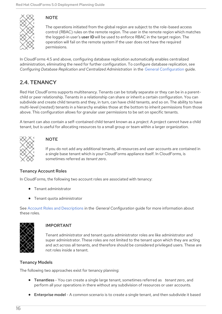

# **NOTE**

The operations initiated from the global region are subject to the role-based access control (RBAC) rules on the remote region. The user in the remote region which matches the logged-in user's user ID will be used to enforce RBAC in the target region. The operation will fail on the remote system if the user does not have the required permissions.

In CloudForms 4.5 and above, configuring database replication automatically enables centralized administration, eliminating the need for further configuration. To configure database replication, see *Configuring Database Replication and Centralized Administration* in the General [Configuration](https://access.redhat.com/documentation/en-us/red_hat_cloudforms/4.7/html-single/general_configuration/#configuring_database_replication) guide.

# <span id="page-19-0"></span>2.4. TENANCY

Red Hat CloudForms supports multitenancy. Tenants can be totally separate or they can be in a parentchild or peer relationship. Tenants in a relationship can share or inherit a certain configuration. You can subdivide and create child tenants and they, in turn, can have child tenants, and so on. The ability to have multi-level (nested) tenants in a hierarchy enables those at the bottom to inherit permissions from those above. This configuration allows for granular user permissions to be set on specific tenants.

A tenant can also contain a self-contained child tenant known as a *project*. A project cannot have a child tenant, but is useful for allocating resources to a small group or team within a larger organization.



# **NOTE**

If you do not add any additional tenants, all resources and user accounts are contained in a single base tenant which is your CloudForms appliance itself. In CloudForms, is sometimes referred as *tenant zero*.

# Tenancy Account Roles

In CloudForms, the following two account roles are associated with tenancy:

- Tenant administrator
- **•** Tenant quota administrator

See Account Roles and [Descriptions](https://access.redhat.com/documentation/en-us/red_hat_cloudforms/4.7/html-single/general_configuration/#roles) in the *General Configuration* guide for more information about these roles.



# IMPORTANT

Tenant administrator and tenant quota administrator roles are like administrator and super administrator. These roles are not limited to the tenant upon which they are acting and act across all tenants, and therefore should be considered privileged users. These are not roles inside a tenant.

# Tenancy Models

The following two approaches exist for tenancy planning:

- Tenantless You can create a single large tenant, sometimes referred as *tenant zero*, and perform all your operations in there without any subdivision of resources or user accounts.
- Enterprise model A common scenario is to create a single tenant, and then subdivide it based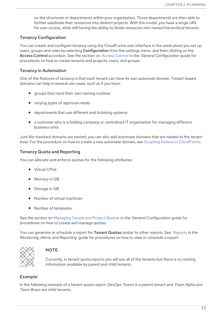on the structures or departments within your organization. Those departments are then able to further subdivide their resources into distinct projects. With this model, you have a single URL for user access, while still having the ability to divide resources into nested hierarchical tenants.

# Tenancy Configuration

You can create and configure tenancy using the CloudForms user interface in the same place you set up users, groups and roles by selecting **Configuration** from the settings menu, and then clicking on the Access Control accordion. See the section on Access [Control](https://access.redhat.com/documentation/en-us/red_hat_cloudforms/4.7/html-single/general_configuration/#access-control) in the *General Configuration* guide for procedures on how to create tenants and projects, users, and groups.

### Tenancy in Automation

One of the features of tenancy is that each tenant can have its own automate domain. Tenant-based domains can help in several use cases, such as if you have:

- groups that need their own naming routines
- varying types of approval needs
- departments that use different end ticketing systems
- a customer who is a holding company or centralized IT organization for managing different business units

Just like standard domains are nested, you can also add automate domains that are nested at the tenant level. For the procedure on how to create a new automate domain, see Scripting Actions in [CloudForms](https://access.redhat.com/documentation/en-us/red_hat_cloudforms/4.7/html-single/scripting_actions_in_cloudforms/) .

# Tenancy Quota and Reporting

You can allocate and enforce quotas for the following attributes:

- Virtual CPUs
- Memory in GB
- Storage in GB
- Number of virtual machines
- Number of templates

See the section on [Managing](https://access.redhat.com/documentation/en-us/red_hat_cloudforms/4.7/html-single/general_configuration/#access-control) Tenant and Project Quotas in the *General Configuration* guide for procedures on how to create and manage quotas.

You can generate or schedule a report for Tenant Quotas similar to other reports. See [Reports](https://access.redhat.com/documentation/en-us/red_hat_cloudforms/4.7/html-single/monitoring_alerts_and_reporting/#sect_reports) in the *Monitoring, Alerts, and Reporting* guide for procedures on how to view or schedule a report.



# **NOTE**

Currently, in tenant quota reports you will see all of the tenants but there is no nesting information available by parent and child tenants.

# Example:

In the following example of a tenant quota report, *DevOps Teams* is a parent tenant and *Team Alpha* and *Team Bravo* are child tenants.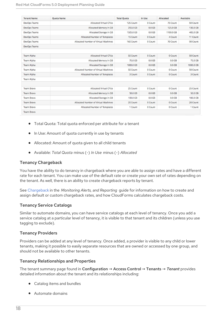| <b>Tenant Name</b>  | <b>Ouota Name</b>                    | <b>Total Quota</b> | In Use            | Allocated         | Available |
|---------------------|--------------------------------------|--------------------|-------------------|-------------------|-----------|
| <b>DevOps Teams</b> | <b>Allocated Virtual CPUs</b>        | 125 Count          | 0 Count           | 75 Count          | 50 Count  |
| DevOps Teams        | Allocated Memory in GB               | 255.0 GB           | $0.0$ GB          | 125.0 GB          | 130.0 GB  |
| <b>DevOps Teams</b> | Allocated Storage in GB              | 1505.0 GB          | 0.0 <sub>GB</sub> | 1100.0 GB         | 405.0 GB  |
| DevOps Teams        | Allocated Number of Templates        | 15 Count           | 0 Count           | 4 Count           | 11 Count  |
| DevOps Teams        | Allocated Number of Virtual Machines | 160 Count          | 0 Count           | 70 Count          | 90 Count  |
| <b>DevOps Teams</b> |                                      |                    |                   |                   |           |
|                     |                                      |                    |                   |                   |           |
| <b>Team Alpha</b>   | Allocated Virtual CPUs               | 50 Count           | 0 Count           | 0 Count           | 50 Count  |
| <b>Team Alpha</b>   | Allocated Memory in GB               | 75.0 GB            | 0.0 <sub>GB</sub> | 0.0 <sub>GB</sub> | 75.0 GB   |
| <b>Team Alpha</b>   | Allocated Storage in GB              | 1000.0 GB          | 0.0 <sub>GB</sub> | 0.0 <sub>GB</sub> | 1000.0 GB |
| Team Alpha          | Allocated Number of Virtual Machines | 50 Count           | 0 Count           | 0 Count           | 50 Count  |
| <b>Team Alpha</b>   | Allocated Number of Templates        | 3 Count            | 0 Count           | 0 Count           | 3 Count   |
| Team Alpha          |                                      |                    |                   |                   |           |
|                     |                                      |                    |                   |                   |           |
| <b>Team Bravo</b>   | <b>Allocated Virtual CPUs</b>        | 25 Count           | 0 Count           | 0 Count           | 25 Count  |
| <b>Team Brayo</b>   | Allocated Memory in GB               | 50.0 GB            | 0.0 <sub>GB</sub> | $0.0$ GB          | 50.0 GB   |
| <b>Team Bravo</b>   | Allocated Storage in GB              | 100.0 GB           | 0.0 <sub>GB</sub> | 0.0 <sub>GB</sub> | 100.0 GB  |
| <b>Team Bravo</b>   | Allocated Number of Virtual Machines | 20 Count           | 0 Count           | 0 Count           | 20 Count  |
| <b>Team Bravo</b>   | Allocated Number of Templates        | 1 Count            | 0 Count           | 0 Count           | 1 Count   |
| <b>Team Bravo</b>   |                                      |                    |                   |                   |           |

- Total Quota: Total quota enforced per attribute for a tenant
- In Use: Amount of quota currently in use by tenants
- Allocated: Amount of quota given to all child tenants
- Available: *Total Quota* minus (-) *In Use* minus (-) *Allocated*

### Tenancy Chargeback

You have the ability to do tenancy in chargeback where you are able to assign rates and have a different rate for each tenant. You can make use of the default rate or create your own set of rates depending on the tenant. As well, there is an ability to create chargeback reports by tenant.

See [Chargeback](https://access.redhat.com/documentation/en-us/red_hat_cloudforms/4.7/html-single/monitoring_alerts_and_reporting/#sect_chargeback) in the *Monitoring Alerts, and Reporting* guide for information on how to create and assign default or custom chargeback rates, and how CloudForms calculates chargeback costs.

### Tenancy Service Catalogs

Similar to automate domains, you can have service catalogs at each level of tenancy. Once you add a service catalog at a particular level of tenancy, it is visible to that tenant and its children (unless you use tagging to exclude).

### Tenancy Providers

Providers can be added at any level of tenancy. Once added, a provider is visible to any child or lower tenants, making it possible to easily separate resources that are owned or accessed by one group, and should not be available to other tenants.

### Tenancy Relationships and Properties

The tenant summary page found in Configuration → Access Control → Tenants → *Tenant* provides detailed information about the tenant and its relationships including:

- Catalog items and bundles
- Automate domains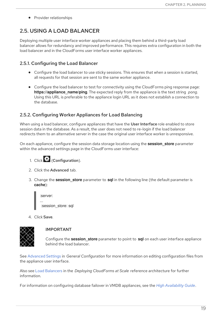Provider relationships

# <span id="page-22-0"></span>2.5. USING A LOAD BALANCER

Deploying multiple user interface worker appliances and placing them behind a third-party load balancer allows for redundancy and improved performance. This requires extra configuration in both the load balancer and in the CloudForms user interface worker appliances.

# <span id="page-22-1"></span>2.5.1. Configuring the Load Balancer

- Configure the load balancer to use sticky sessions. This ensures that when a session is started, all requests for that session are sent to the same worker appliance.
- Configure the load balancer to test for connectivity using the CloudForms ping response page: **https://appliance\_name/ping**. The expected reply from the appliance is the text string *pong*. Using this URL is preferable to the appliance login URL as it does not establish a connection to the database.

# <span id="page-22-2"></span>2.5.2. Configuring Worker Appliances for Load Balancing

When using a load balancer, configure appliances that have the User Interface role enabled to store session data in the database. As a result, the user does not need to re-login if the load balancer redirects them to an alternative server in the case the original user interface worker is unresponsive.

On each appliance, configure the session data storage location using the **session\_store** parameter within the advanced settings page in the CloudForms user interface:



- 2. Click the Advanced tab.
- 3. Change the **session\_store** parameter to **sql** in the following line (the default parameter is **cache**):

:server: ... :session\_store: sql

4. Click Save.



# IMPORTANT

Configure the **session\_store** parameter to point to **sql** on each user interface appliance behind the load balancer.

See [Advanced](https://access.redhat.com/documentation/en-us/red_hat_cloudforms/4.7/html-single/general_configuration/#servers) Settings in *General Configuration* for more information on editing configuration files from the appliance user interface.

Also see Load [Balancers](https://access.redhat.com/documentation/en-us/reference_architectures/2017/html-single/deploying_cloudforms_at_scale/#load_balancers) in the *Deploying CloudForms at Scale* reference architecture for further information.

For information on configuring database failover in VMDB appliances, see the *High [Availability](https://access.redhat.com/documentation/en-us/red_hat_cloudforms/4.7/html-single/high_availability_guide/) Guide*.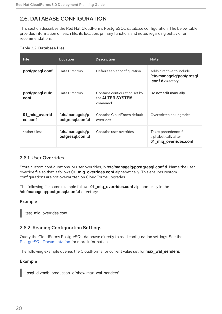# <span id="page-23-0"></span>2.6. DATABASE CONFIGURATION

This section describes the Red Hat CloudForms PostgreSQL database configuration. The below table provides information on each file: its location, primary function, and notes regarding behavior or recommendations.

# Table 2.2. Database files

| <b>File</b>               | Location                            | <b>Description</b>                                                  | <b>Note</b>                                                                |
|---------------------------|-------------------------------------|---------------------------------------------------------------------|----------------------------------------------------------------------------|
| postgresql.conf           | Data Directory                      | Default server configuration                                        | Adds directive to include<br>/etc/manageig/postgresql<br>.conf.d directory |
| postgresql.auto.<br>conf  | Data Directory                      | Contains configuration set by<br>the <b>ALTER SYSTEM</b><br>command | Do not edit manually                                                       |
| 01_miq_overrid<br>es.conf | /etc/manageiq/p<br>ostgresql.conf.d | Contains CloudForms default<br>overrides                            | Overwritten on upgrades                                                    |
| <other files=""></other>  | /etc/manageig/p<br>ostgresql.conf.d | Contains user overrides                                             | Takes precedence if<br>alphabetically after<br>01 mig overrides.conf       |

# <span id="page-23-1"></span>2.6.1. User Overrides

Store custom configurations, or user overrides, in **/etc/manageiq/postgresql.conf.d**. Name the user override file so that it follows **01\_miq\_overrides.conf** alphabetically. This ensures custom configurations are not overwritten on CloudForms upgrades.

The following file name example follows **01\_miq\_overrides.conf** alphabetically in the **/etc/manageiq/postgresql.conf.d** directory:

# Example

test\_miq\_overrides.conf

# <span id="page-23-2"></span>2.6.2. Reading Configuration Settings

Query the CloudForms PostgreSQL database directly to read configuration settings. See the PostgreSQL [Documentation](https://www.postgresql.org/docs/9.5/index.html) for more information.

The following example queries the CloudForms for current value set for **max\_wal\_senders**:

# Example

`psql -d vmdb\_production -c 'show max\_wal\_senders'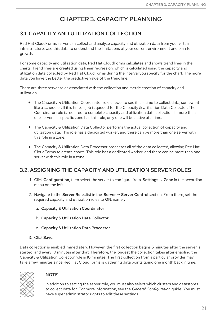# CHAPTER 3. CAPACITY PLANNING

# <span id="page-24-1"></span><span id="page-24-0"></span>3.1. CAPACITY AND UTILIZATION COLLECTION

Red Hat CloudForms server can collect and analyze capacity and utilization data from your virtual infrastructure. Use this data to understand the limitations of your current environment and plan for growth.

For some capacity and utilization data, Red Hat CloudForms calculates and shows trend lines in the charts. Trend lines are created using linear regression, which is calculated using the capacity and utilization data collected by Red Hat CloudForms during the interval you specify for the chart. The more data you have the better the predictive value of the trend line.

There are three server roles associated with the collection and metric creation of capacity and utilization.

- The Capacity & Utilization Coordinator role checks to see if it is time to collect data, somewhat like a scheduler. If it is time, a job is queued for the Capacity & Utilization Data Collector. The Coordinator role is required to complete capacity and utilization data collection. If more than one server in a specific zone has this role, only one will be active at a time.
- The Capacity & Utilization Data Collector performs the actual collection of capacity and utilization data. This role has a dedicated worker, and there can be more than one server with this role in a zone.
- The Capacity & Utilization Data Processor processes all of the data collected, allowing Red Hat CloudForms to create charts. This role has a dedicated worker, and there can be more than one server with this role in a zone.

# <span id="page-24-2"></span>3.2. ASSIGNING THE CAPACITY AND UTILIZATION SERVER ROLES

- 1. Click Configuration, then select the server to configure from Settings  $\rightarrow$  Zone in the accordion menu on the left.
- 2. Navigate to the Server Roles list in the Server → Server Control section. From there, set the required capacity and utilization roles to ON, namely:
	- a. Capacity & Utilization Coordinator
	- b. Capacity & Utilization Data Collector
	- c. Capacity & Utilization Data Processor
- 3. Click Save.

Data collection is enabled immediately. However, the first collection begins 5 minutes after the server is started, and every 10 minutes after that. Therefore, the longest the collection takes after enabling the Capacity & Utilization Collector role is 10 minutes. The first collection from a particular provider may take a few minutes since Red Hat CloudForms is gathering data points going one month back in time.



# **NOTE**

In addition to setting the server role, you must also select which clusters and datastores to collect data for. For more information, see the *General Configuration* guide. You must have super administrator rights to edit these settings.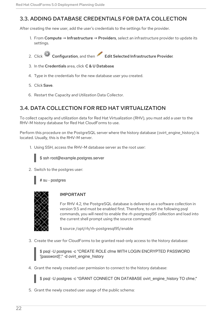# <span id="page-25-0"></span>3.3. ADDING DATABASE CREDENTIALS FOR DATA COLLECTION

After creating the new user, add the user's credentials to the settings for the provider.

- 1. From Compute → Infrastructure → Providers, select an infrastructure provider to update its settings.
- 2. Click Configuration, and then Edit Selected Infrastructure Provider.
- 3. In the Credentials area, click C & U Database.
- 4. Type in the credentials for the new database user you created.
- 5. Click Save.
- 6. Restart the Capacity and Utilization Data Collector.

# <span id="page-25-1"></span>3.4. DATA COLLECTION FOR RED HAT VIRTUALIZATION

To collect capacity and utilization data for Red Hat Virtualization (RHV), you must add a user to the RHV-M history database for Red Hat CloudForms to use.

Perform this procedure on the PostgreSQL server where the history database (ovirt engine history) is located. Usually, this is the RHV-M server.

1. Using SSH, access the RHV-M database server as the root user:



\$ ssh root@example.postgres.server

2. Switch to the postgres user:

# su - postgres



# IMPORTANT

For RHV 4.2, the PostgreSQL database is delivered as a software collection in version 9.5 and must be enabled first. Therefore, to run the following psql commands, you will need to enable the *rh-postgresql95* collection and load into the current shell prompt using the source command:

\$ source /opt/rh/rh-postgresql95/enable

3. Create the user for CloudForms to be granted read-only access to the history database:

\$ psql -U postgres -c "CREATE ROLE cfme WITH LOGIN ENCRYPTED PASSWORD '[password]';" -d ovirt\_engine\_history

4. Grant the newly created user permission to connect to the history database:

\$ psql -U postgres -c "GRANT CONNECT ON DATABASE ovirt\_engine\_history TO cfme;"

5. Grant the newly created user usage of the public schema: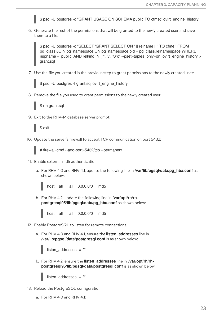\$ psql -U postgres -c "GRANT USAGE ON SCHEMA public TO cfme;" ovirt\_engine\_history

6. Generate the rest of the permissions that will be granted to the newly created user and save them to a file:

\$ psql -U postgres -c "SELECT 'GRANT SELECT ON ' || relname || ' TO cfme;' FROM pg\_class JOIN pg\_namespace ON pg\_namespace.oid = pg\_class.relnamespace WHERE nspname = 'public' AND relkind IN ('r', 'v', 'S');" --pset=tuples\_only=on ovirt\_engine\_history > grant.sql

7. Use the file you created in the previous step to grant permissions to the newly created user:

\$ psql -U postgres -f grant.sql ovirt\_engine\_history

8. Remove the file you used to grant permissions to the newly created user:

\$ rm grant.sql

9. Exit to the RHV-M database server prompt:

\$ exit

10. Update the server's firewall to accept TCP communication on port 5432:

# firewall-cmd --add-port=5432/tcp --permanent

- 11. Enable external md5 authentication.
	- a. For RHV 4.0 and RHV 4.1, update the following line in **/var/lib/pgsql/data/pg\_hba.conf** as shown below:

host all all 0.0.0.0/0 md5

b. For RHV 4.2, update the following line in **/var/opt/rh/rhpostgresql95/lib/pgsql/data/pg\_hba.conf** as shown below:

host all all 0.0.0.0/0 md5

- 12. Enable PostgreSQL to listen for remote connections.
	- a. For RHV 4.0 and RHV 4.1, ensure the **listen\_addresses** line in **/var/lib/pgsql/data/postgresql.conf** is as shown below:

listen addresses = '\*'

b. For RHV 4.2, ensure the **listen\_addresses** line in **/var/opt/rh/rhpostgresql95/lib/pgsql/data/postgresql.conf** is as shown below:

listen  $addresses =$   $'$ \*'

- 13. Reload the PostgreSQL configuration.
	- a. For RHV 4.0 and RHV 4.1: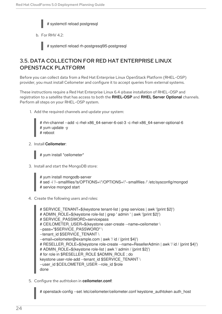# systemctl reload postgresql

b. For RHV 4.2:

# systemctl reload rh-postgresql95-postgresql

# <span id="page-27-0"></span>3.5. DATA COLLECTION FOR RED HAT ENTERPRISE LINUX OPENSTACK PLATFORM

Before you can collect data from a Red Hat Enterprise Linux OpenStack Platform (RHEL-OSP) provider, you must install Ceilometer and configure it to accept queries from external systems.

These instructions require a Red Hat Enterprise Linux 6.4 @base installation of RHEL-OSP and registration to a satellite that has access to both the **RHEL-OSP** and **RHEL Server Optional** channels. Perform all steps on your RHEL-OSP system.

1. Add the required channels and update your system:



2. Install **Ceilometer**:

# yum install \*ceilometer\*

3. Install and start the MongoDB store:

```
# yum install mongodb-server
# sed -i '/--smallfiles/!s/OPTIONS=\"/OPTIONS=\"--smallfiles /' /etc/sysconfig/mongod
# service mongod start
```
4. Create the following users and roles:

```
# SERVICE_TENANT=$(keystone tenant-list | grep services | awk '{print $2}')
# ADMIN_ROLE=$(keystone role-list | grep ' admin ' | awk '{print $2}')
# SERVICE_PASSWORD=servicepass
# CEILOMETER USER=$(keystone user-create --name=ceilometer \
--pass="$SERVICE_PASSWORD" \
--tenant_id $SERVICE_TENANT \
--email=ceilometer@example.com | awk '/ id / {print $4}')
# RESELLER_ROLE=$(keystone role-create --name=ResellerAdmin | awk '/ id / {print $4}')
# ADMIN_ROLE=$(keystone role-list | awk '/ admin / {print $2}')
# for role in $RESELLER_ROLE $ADMIN_ROLE ; do
keystone user-role-add --tenant_id $SERVICE_TENANT \
--user_id $CEILOMETER_USER --role_id $role
done
```
5. Configure the authtoken in **ceilometer.conf**:

# openstack-config --set /etc/ceilometer/ceilometer.conf keystone\_authtoken auth\_host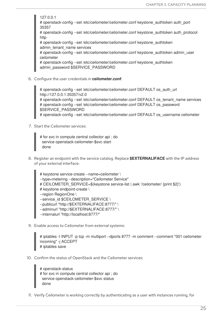127.0.0.1

# openstack-config --set /etc/ceilometer/ceilometer.conf keystone\_authtoken auth\_port 35357

# openstack-config --set /etc/ceilometer/ceilometer.conf keystone\_authtoken auth\_protocol http

# openstack-config --set /etc/ceilometer/ceilometer.conf keystone\_authtoken admin\_tenant\_name services

# openstack-config --set /etc/ceilometer/ceilometer.conf keystone\_authtoken admin\_user ceilometer

# openstack-config --set /etc/ceilometer/ceilometer.conf keystone\_authtoken admin\_password \$SERVICE\_PASSWORD

6. Configure the user credentials in **ceilometer.conf**:

# openstack-config --set /etc/ceilometer/ceilometer.conf DEFAULT os\_auth\_url http://127.0.0.1:35357/v2.0 # openstack-config --set /etc/ceilometer/ceilometer.conf DEFAULT os\_tenant\_name services # openstack-config --set /etc/ceilometer/ceilometer.conf DEFAULT os\_password \$SERVICE\_PASSWORD # openstack-config --set /etc/ceilometer/ceilometer.conf DEFAULT os\_username ceilometer

7. Start the Ceilometer services:

# for svc in compute central collector api ; do service openstack-ceilometer-\$svc start done

8. Register an endpoint with the service catalog. Replace **\$EXTERNALIFACE** with the IP address of your external interface:

# keystone service-create --name=ceilometer \ --type=metering --description="Ceilometer Service" # CEILOMETER\_SERVICE=\$(keystone service-list | awk '/ceilometer/ {print \$2}') # keystone endpoint-create \ --region RegionOne \ --service\_id \$CEILOMETER\_SERVICE \ --publicurl "http://\$EXTERNALIFACE:8777/" \ --adminurl "http://\$EXTERNALIFACE:8777/" \ --internalurl "http://localhost:8777/"

9. Enable access to Ceilometer from external systems:

# iptables -I INPUT -p tcp -m multiport --dports 8777 -m comment --comment "001 ceilometer incoming" -j ACCEPT # iptables save

10. Confirm the status of OpenStack and the Ceilometer services:

# openstack-status # for svc in compute central collector api ; do service openstack-ceilometer-\$svc status done

11. Verify Ceilometer is working correctly by authenticating as a user with instances running, for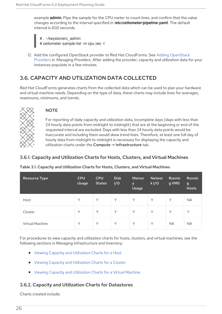example **admin**. Pipe the sample for the CPU meter to count lines, and confirm that the value changes according to the interval specified in **/etc/ceilometer/pipeline.yaml**. The default interval is 600 seconds.

# . ~/keystonerc\_admin # ceilometer sample-list -m cpu |wc -l

12. Add the configured OpenStack provider to Red Hat [CloudForms.](https://access.redhat.com/documentation/en-us/red_hat_cloudforms/4.7/html/managing_providers/cloud_providers#adding_openstack_cloud_providers) See Adding OpenStack Providers in *Managing Providers*. After adding the provider, capacity and utilization data for your instances populate in a few minutes.

# <span id="page-29-0"></span>3.6. CAPACITY AND UTILIZATION DATA COLLECTED

Red Hat CloudForms generates charts from the collected data which can be used to plan your hardware and virtual machine needs. Depending on the type of data, these charts may include lines for averages, maximums, minimums, and trends.



# **NOTE**

For reporting of daily capacity and utilization data, incomplete days (days with less than 24 hourly data points from midnight to midnight) that are at the beginning or end of the requested interval are excluded. Days with less than 24 hourly data points would be inaccurate and including them would skew trend lines. Therefore, at least one full day of hourly data from midnight to midnight is necessary for displaying the capacity and utilization charts under the Compute → Infrastructure tab.

# <span id="page-29-1"></span>3.6.1. Capacity and Utilization Charts for Hosts, Clusters, and Virtual Machines

Table 3.1. Capacity and Utilization Charts for Hosts, Clusters, and Virtual Machines

| <b>Resource Type</b> | <b>CPU</b><br><b>Usage</b> | <b>CPU</b><br><b>States</b> | <b>Disk</b><br>I/O | <b>Memor</b><br>y<br><b>Usage</b> | <b>Networ</b><br>$k$ <sub>I</sub> /O | Runnin<br>g VMS | Runnin<br>$\mathbf{g}$<br><b>Hosts</b> |
|----------------------|----------------------------|-----------------------------|--------------------|-----------------------------------|--------------------------------------|-----------------|----------------------------------------|
| Host                 | Υ                          | Y                           | Υ                  | Υ                                 | Y                                    | Υ               | <b>NA</b>                              |
| Cluster              | Y                          | Y                           | Y                  | Υ                                 | Y                                    | Y               | Y                                      |
| Virtual Machine      | Y                          | Υ                           | Υ                  | Υ                                 | Υ                                    | <b>NA</b>       | <b>NA</b>                              |

For procedures to view capacity and utilization charts for hosts, clusters, and virtual machines, see the following sections in *Managing Infrastructure and Inventory*:

- Viewing Capacity and [Utilization](https://access.redhat.com/documentation/en-us/red_hat_cloudforms/4.7/html/managing_infrastructure_and_inventory/sect_hosts#viewing_capacity_and_utilization_charts_for_a_host) Charts for a Host
- Viewing Capacity and [Utilization](https://access.redhat.com/documentation/en-us/red_hat_cloudforms/4.7/html/managing_infrastructure_and_inventory/sect_clusters#viewing_capacity_and_utilization_charts_for_a_cluster) Charts for a Cluster
- Viewing Capacity and [Utilization](https://access.redhat.com/documentation/en-us/red_hat_cloudforms/4.7/html/managing_infrastructure_and_inventory/sect_virtual_machines#to_view_capacity_and_utilization_charts_for_a_virtual_machine) Charts for a Virtual Machine

# <span id="page-29-2"></span>3.6.2. Capacity and Utilization Charts for Datastores

Charts created include: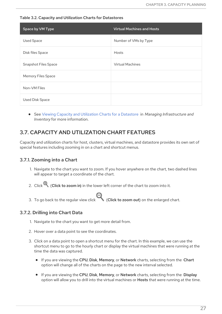### Table 3.2. Capacity and Utilization Charts for Datastores

| Space by VM Type            | <b>Virtual Machines and Hosts</b> |
|-----------------------------|-----------------------------------|
| <b>Used Space</b>           | Number of VMs by Type             |
| Disk files Space            | Hosts                             |
| <b>Snapshot Files Space</b> | <b>Virtual Machines</b>           |
| <b>Memory Files Space</b>   |                                   |
| Non-VM Files                |                                   |
| Used Disk Space             |                                   |

See Viewing Capacity and Utilization Charts for a [Datastore](https://access.redhat.com/documentation/en-us/red_hat_cloudforms/4.7/html/managing_infrastructure_and_inventory/sect_datastores#viewing_capacity_and_utilization_charts_for_a_datastore) in *Managing Infrastructure and Inventory* for more information.

# <span id="page-30-0"></span>3.7. CAPACITY AND UTILIZATION CHART FEATURES

Capacity and utilization charts for host, clusters, virtual machines, and datastore provides its own set of special features including zooming in on a chart and shortcut menus.

# <span id="page-30-1"></span>3.7.1. Zooming into a Chart

- 1. Navigate to the chart you want to zoom. If you hover anywhere on the chart, two dashed lines will appear to target a coordinate of the chart.
- 2. Click (Click to zoom in) in the lower left corner of the chart to zoom into it.
- 3. To go back to the regular view click (Click to zoom out) on the enlarged chart.

# <span id="page-30-2"></span>3.7.2. Drilling into Chart Data

- 1. Navigate to the chart you want to get more detail from.
- 2. Hover over a data point to see the coordinates.
- 3. Click on a data point to open a shortcut menu for the chart. In this example, we can use the shortcut menu to go to the hourly chart or display the virtual machines that were running at the time the data was captured.
	- **If you are viewing the CPU, Disk, Memory, or Network** charts, selecting from the Chart option will change all of the charts on the page to the new interval selected.
	- **If you are viewing the CPU, Disk, Memory, or Network** charts, selecting from the **Display** option will allow you to drill into the virtual machines or Hosts that were running at the time.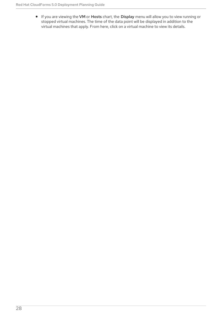If you are viewing the VM or Hosts chart, the Display menu will allow you to view running or stopped virtual machines. The time of the data point will be displayed in addition to the virtual machines that apply. From here, click on a virtual machine to view its details.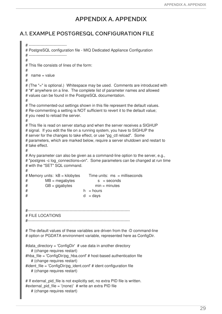# APPENDIX A. APPENDIX

# <span id="page-32-1"></span><span id="page-32-0"></span>A.1. EXAMPLE POSTGRESQL CONFIGURATION FILE

| # -----------------------------                                                                                                                                                                                                                                                                                                             |
|---------------------------------------------------------------------------------------------------------------------------------------------------------------------------------------------------------------------------------------------------------------------------------------------------------------------------------------------|
| # PostgreSQL configuration file - MIQ Dedicated Appliance Configuration                                                                                                                                                                                                                                                                     |
| # -----------------------------<br>#                                                                                                                                                                                                                                                                                                        |
| # This file consists of lines of the form:<br>#                                                                                                                                                                                                                                                                                             |
| $name = value$<br>#<br>#                                                                                                                                                                                                                                                                                                                    |
| # (The "=" is optional.) Whitespace may be used. Comments are introduced with<br># "#" anywhere on a line. The complete list of parameter names and allowed<br># values can be found in the PostgreSQL documentation.<br>#                                                                                                                  |
| # The commented-out settings shown in this file represent the default values.<br># Re-commenting a setting is NOT sufficient to revert it to the default value;<br># you need to reload the server.<br>#                                                                                                                                    |
| # This file is read on server startup and when the server receives a SIGHUP<br># signal. If you edit the file on a running system, you have to SIGHUP the<br># server for the changes to take effect, or use "pg_ctl reload". Some<br># parameters, which are marked below, require a server shutdown and restart to<br># take effect.<br># |
| # Any parameter can also be given as a command-line option to the server, e.g.,<br># "postgres -c log_connections=on". Some parameters can be changed at run time<br># with the "SET" SQL command.<br>#                                                                                                                                     |
| Time units: $ms =$ milliseconds<br># Memory units: kB = kilobytes<br>$MB = megabytes$<br>#<br>$s =$ seconds<br>$GB = gigabytes$<br>$min = minutes$<br>#<br>$h = hours$<br>#<br>#<br>$=$ days<br>d                                                                                                                                           |
| #----------<br># FILE LOCATIONS                                                                                                                                                                                                                                                                                                             |
| # The default values of these variables are driven from the -D command-line<br># option or PGDATA environment variable, represented here as ConfigDir.                                                                                                                                                                                      |
| #data_directory = 'ConfigDir' # use data in another directory<br># (change requires restart)                                                                                                                                                                                                                                                |
| #hba_file = 'ConfigDir/pg_hba.conf' # host-based authentication file                                                                                                                                                                                                                                                                        |
| # (change requires restart)<br>#ident_file = 'ConfigDir/pg_ident.conf' # ident configuration file<br># (change requires restart)                                                                                                                                                                                                            |
| # If external_pid_file is not explicitly set, no extra PID file is written.<br>#external_pid_file = '(none)' # write an extra PID file<br># (change requires restart)                                                                                                                                                                       |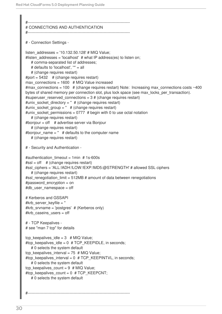# # CONNECTIONS AND AUTHENTICATION

#------------------------------------------------------------------------------

#------------------------------------------------------------------------------

# - Connection Settings -

```
listen_addresses = '10.132.50.128' # MIQ Value;
#listen_addresses = 'localhost' # what IP address(es) to listen on:
   # comma-separated list of addresses;
   # defaults to 'localhost', '*' = all
   # (change requires restart)
#port = 5432 # (change requires restart)
max connections = 1600 # MIQ Value increased
#max connections = 100 # (change requires restart) Note: Increasing max connections costs ~400
bytes of shared memory per connection slot, plus lock space (see max locks per transaction).
#superuser reserved connections = 3 # (change requires restart)
#unix_socket_directory = '' # (change requires restart)
#unix_socket_group = '' # (change requires restart)
#unix socket permissions = 0777 # begin with 0 to use octal notation
   # (change requires restart)
#bonjour = off # advertise server via Bonjour
   # (change requires restart)
#bonjour_name = " # defaults to the computer name
   # (change requires restart)
# - Security and Authentication -
#authentication_timeout = 1min # 1s-600s#ssl = off # (change requires restart)#ssl_ciphers = 'ALL:!ADH:!LOW:!EXP:!MD5:@STRENGTH' # allowed SSL ciphers
   # (change requires restart)
#ssl_renegotiation_limit = 512MB # amount of data between renegotiations
#password \epsilonencryption = on
#db user namespace = off
# Kerberos and GSSAPI
#krb server keyfile = "
#krb srvname = 'postgres' # (Kerberos only)
#krb caseins users = off
# - TCP Keepalives -
# see "man 7 tcp" for details
tcp_keepalives_idle = 3 # MIQ Value;
#tcp_keepalives_idle = 0 # TCP_KEEPIDLE, in seconds;
   # 0 selects the system default
tcp keepalives interval = 75 # MIQ Value;
#tcp_keepalives_interval = 0 # TCP_KEEPINTVL, in seconds;
   # 0 selects the system default
tcp_keepalives_count = 9 # MIQ Value;
#tcp_keepalives_count = 0 # TCP_KEEPCNT;
   # 0 selects the system default
```
#------------------------------------------------------------------------------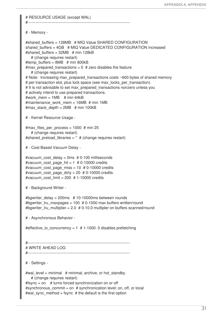| # RESOURCE USAGE (except WAL)                                                                                                                                                                                                                                                                                                                                                                                                                                                                                                                                                                                                                                                                                                                                 |
|---------------------------------------------------------------------------------------------------------------------------------------------------------------------------------------------------------------------------------------------------------------------------------------------------------------------------------------------------------------------------------------------------------------------------------------------------------------------------------------------------------------------------------------------------------------------------------------------------------------------------------------------------------------------------------------------------------------------------------------------------------------|
| # - Memory -                                                                                                                                                                                                                                                                                                                                                                                                                                                                                                                                                                                                                                                                                                                                                  |
| #shared_buffers = 128MB # MIQ Value SHARED CONFIGURATION<br>shared buffers = $4GB$ # MIQ Value DEDICATED CONFIGURATION increased<br>#shared buffers = $32MB$ # min 128kB<br># (change requires restart)<br>#temp_buffers = $8MB$ # min 800kB<br>$#max\_prepared\_transactions = 0$ # zero disables the feature<br># (change requires restart)<br># Note: Increasing max_prepared_transactions costs ~600 bytes of shared memory<br># per transaction slot, plus lock space (see max_locks_per_transaction).<br># It is not advisable to set max prepared transactions nonzero unless you<br># actively intend to use prepared transactions.<br>#work mem = $1MB$ # min 64kB<br>#maintenance_work_mem = 16MB # min 1MB<br>#max_stack_depth = $2MB$ # min 100kB |
| # - Kernel Resource Usage -                                                                                                                                                                                                                                                                                                                                                                                                                                                                                                                                                                                                                                                                                                                                   |
| #max_files_per_process = $1000$ # min 25<br># (change requires restart)<br>#shared_preload_libraries = $"$ # (change requires restart)                                                                                                                                                                                                                                                                                                                                                                                                                                                                                                                                                                                                                        |
| # - Cost-Based Vacuum Delay -                                                                                                                                                                                                                                                                                                                                                                                                                                                                                                                                                                                                                                                                                                                                 |
| #vacuum cost delay = 0ms # 0-100 milliseconds<br>#vacuum_cost_page_hit = $1$ # 0-10000 credits<br>#vacuum_cost_page_miss = $10$ # 0-10000 credits<br>#vacuum_cost_page_dirty = $20$ # 0-10000 credits<br>#vacuum_cost_limit = $200$ # 1-10000 credits                                                                                                                                                                                                                                                                                                                                                                                                                                                                                                         |
| # - Background Writer -                                                                                                                                                                                                                                                                                                                                                                                                                                                                                                                                                                                                                                                                                                                                       |
| #bgwriter delay = 200ms $# 10-10000$ ms between rounds<br>#bgwriter Iru maxpages = $100$ # 0-1000 max buffers written/round<br>#bgwriter_lru_multiplier = 2.0 # 0-10.0 multipler on buffers scanned/round                                                                                                                                                                                                                                                                                                                                                                                                                                                                                                                                                     |
| # - Asynchronous Behavior -                                                                                                                                                                                                                                                                                                                                                                                                                                                                                                                                                                                                                                                                                                                                   |
| #effective_io_concurrency = $1$ # 1-1000. 0 disables prefetching                                                                                                                                                                                                                                                                                                                                                                                                                                                                                                                                                                                                                                                                                              |
| # WRITE AHEAD LOG                                                                                                                                                                                                                                                                                                                                                                                                                                                                                                                                                                                                                                                                                                                                             |
| # - Settings -                                                                                                                                                                                                                                                                                                                                                                                                                                                                                                                                                                                                                                                                                                                                                |
| $\#$ wal_level = minimal $\#$ minimal, archive, or hot_standby<br># (change requires restart)<br>$#$ fsync = on $#$ turns forced synchronization on or off<br>#synchronous_commit = on # synchronization level; on, off, or local<br>$\#$ wal_sync_method = fsync $\#$ the default is the first option                                                                                                                                                                                                                                                                                                                                                                                                                                                        |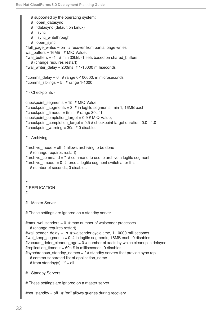# supported by the operating system: # open\_datasync # fdatasync (default on Linux) # fsync # fsync\_writethrough # open\_sync #full\_page\_writes = on  $#$  recover from partial page writes wal buffers =  $16MB$  # MIQ Value; #wal\_buffers =  $-1$  # min 32kB,  $-1$  sets based on shared buffers # (change requires restart) #wal\_writer\_delay = 200ms  $# 1-10000$  milliseconds #commit\_delay = 0 # range 0-100000, in microseconds #commit siblings =  $5$  # range 1-1000 # - Checkpoints checkpoint\_segments = 15 # MIQ Value; #checkpoint\_segments = 3 # in logfile segments, min 1, 16MB each #checkpoint\_timeout = 5min # range 30s-1h checkpoint completion  $target = 0.9$  # MIQ Value; #checkpoint completion target =  $0.5$  # checkpoint target duration,  $0.0 - 1.0$ #checkpoint\_warning =  $30s$  # 0 disables # - Archiving - #archive mode = off  $#$  allows archiving to be done # (change requires restart) #archive command =  $"$  # command to use to archive a logfile segment #archive timeout = 0 # force a logfile segment switch after this # number of seconds; 0 disables #------------------------------------------------------------------------------ # REPLICATION #------------------------------------------------------------------------------ # - Master Server - # These settings are ignored on a standby server #max wal senders = 0 # max number of walsender processes # (change requires restart) #wal\_sender\_delay = 1s # walsender cycle time, 1-10000 milliseconds #wal\_keep\_segments =  $0 \#$  in logfile segments, 16MB each; 0 disables #vacuum defer cleanup  $aq = 0$  # number of xacts by which cleanup is delayed #replication timeout = 60s # in milliseconds; 0 disables #synchronous standby names =  $''$  # standby servers that provide sync rep # comma-separated list of application\_name # from standby(s);  $" =$  all # - Standby Servers - # These settings are ignored on a master server #hot standby = off  $#$  "on" allows queries during recovery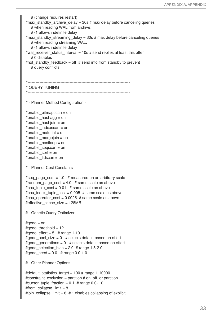# (change requires restart) #max\_standby\_archive\_delay = 30s # max delay before canceling queries # when reading WAL from archive; # -1 allows indefinite delay #max standby streaming  $delay = 30s$  # max delay before canceling queries # when reading streaming WAL; # -1 allows indefinite delay #wal\_receiver\_status\_interval = 10s # send replies at least this often # 0 disables #hot standby feedback = off  $#$  send info from standby to prevent # query conflicts #------------------------------------------------------------------------------ # QUERY TUNING #------------------------------------------------------------------------------ # - Planner Method Configuration -  $#$ enable bitmapscan = on #enable hashagg = on #enable\_hashjoin = on #enable indexscan =  $on$ #enable material  $=$  on #enable mergejoin =  $on$ #enable\_nestloop = on #enable\_seqscan = on #enable\_sort = on #enable tidscan = on # - Planner Cost Constants - #seq page  $\cos t = 1.0$  # measured on an arbitrary scale # random page  $\cos t = 4.0$  # same scale as above #cpu tuple  $cost = 0.01$  # same scale as above #cpu index tuple  $cost = 0.005$  # same scale as above #cpu\_operator\_cost =  $0.0025$  # same scale as above #effective\_cache\_size = 128MB # - Genetic Query Optimizer -  $\#$ gego = on #geqo\_threshold =  $12$ #gego effort =  $5$  # range 1-10 #geqo\_pool\_size =  $0$  # selects default based on effort #gego\_generations =  $0$  # selects default based on effort #gego\_selection\_bias =  $2.0 \#$  range 1.5-2.0 #gego seed =  $0.0$  # range 0.0-1.0 # - Other Planner Options - #default statistics target =  $100$  # range 1-10000 #constraint  $exclusion =$  partition # on, off, or partition #cursor\_tuple\_fraction =  $0.1$  # range 0.0-1.0 #from collapse  $limit = 8$ 

#join collapse  $limit = 8$  # 1 disables collapsing of explicit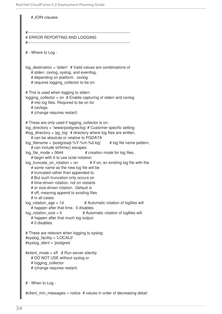# JOIN clauses #------------------------------------------------------------------------------ # ERROR REPORTING AND LOGGING #------------------------------------------------------------------------------ # - Where to Log log destination = 'stderr' # Valid values are combinations of # stderr, csvlog, syslog, and eventlog, # depending on platform. csvlog # requires logging collector to be on. # This is used when logging to stderr: logging collector = on  $#$  Enable capturing of stderr and csvlog # into log files. Required to be on for # csvlogs. # (change requires restart) # These are only used if logging collector is on: log\_directory = '/www/postgres/log' # Customer specific setting # $log$  directory = 'pg  $log'$  # directory where log files are written, # can be absolute or relative to PGDATA log filename = 'postgresql-%Y-%m-%d.log' # log file name pattern, # can include strftime() escapes  $log$ -file\_mode = 0644  $#$  creation mode for log files, # begin with 0 to use octal notation log truncate on rotation = on  $#$  If on, an existing log file with the # same name as the new log file will be # truncated rather than appended to. # But such truncation only occurs on # time-driven rotation, not on restarts # or size-driven rotation. Default is # off, meaning append to existing files # in all cases. log\_rotation\_age = 1d # Automatic rotation of logfiles will # happen after that time. 0 disables.  $log$  rotation  $size = 0$  # Automatic rotation of logfiles will # happen after that much log output. # 0 disables. # These are relevant when logging to syslog: #syslog\_facility = 'LOCAL0' #syslog\_ident = 'postgres' # silent mode = off  $#$  Run server silently. # DO NOT USE without syslog or # logging\_collector # (change requires restart) # - When to Log - #client min messages = notice  $#$  values in order of decreasing detail: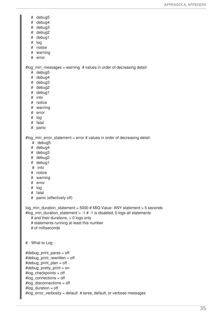```
# debug5
  # debug4
  # debug3
  # debug2
  # debug1
  # log
   # notice
  # warning
   # error
#log min messages = warning # values in order of decreasing detail:
  # debug5
  # debug4
  # debug3
  # debug2
  # debug1
  # info
  # notice
  # warning
  # error
  # log
  # fatal
   # panic
#\log min error statement = error # values in order of decreasing detail:
   # debug5
  # debug4
  # debug3
  # debug2
  # debug1
   # info
  # notice
  # warning
  # error
  # log
  # fatal
   # panic (effectively off)
log_min_duration_statement = 5000 # MIQ Value- ANY statement > 5 seconds
#log_min_duration_statement = -1 # -1 is disabled, 0 logs all statements
   # and their durations, > 0 logs only
   # statements running at least this number
   # of milliseconds
# - What to Log -
#debug_print_parse = off
#debug_print_rewritten = off
#debug print plan = off
#debug pretty print = on
#log_checkpoints = off
#log_connections = off
#log_disconnections = off
#log duration = off
#\log error verbosity = default # terse, default, or verbose messages
```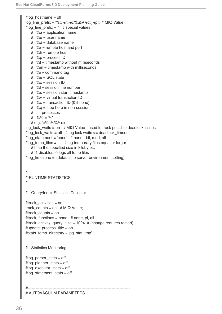# $log$  hostname = off log\_line\_prefix = '%t:%r:%c:%u@%d:[%p]:' # MIQ Value; #log line prefix =  $"$  # special values:  $\#$  %a = application name # %u = user name  $#$  %d = database name # %r = remote host and port # %h = remote host # %p = process ID  $#$  %t = timestamp without milliseconds # %m = timestamp with milliseconds  $\#$  % $i =$  command tag # %e = SQL state  $\#$  %c = session ID # %l = session line number # %s = session start timestamp # %v = virtual transaction ID  $\#$  %x = transaction ID (0 if none) # %q = stop here in non-session # processes #  $\frac{9}{96} = \frac{10}{96}$ # e.g. '<%u%%%d> ' log\_lock\_waits = on  $#$  MIQ Value - used to track possible deadlock issues # $log$  lock waits = off # log lock waits  $>=$  deadlock timeout #log\_statement = 'none' # none, ddl, mod, all # $\log$  temp files = -1 # log temporary files equal or larger # than the specified size in kilobytes; # -1 disables, 0 logs all temp files #log\_timezone = '(defaults to server environment setting)' #------------------------------------------------------------------------------ # RUNTIME STATISTICS #------------------------------------------------------------------------------ # - Query/Index Statistics Collector - #track  $\alpha$ activities = on track counts = on  $#$  MIQ Value; #track\_counts = on #track\_functions = none # none, pl, all #track activity query size = 1024 # (change requires restart) #update process title = on #stats temp directory = 'pg\_stat\_tmp' # - Statistics Monitoring - # $log$  parser stats = off #log\_planner\_stats = off # $log$  executor stats = off # $log$  statement stats = off #------------------------------------------------------------------------------ # AUTOVACUUM PARAMETERS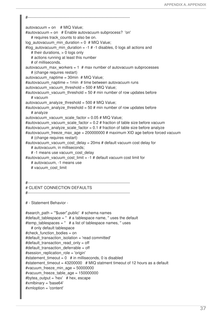#----------------------------------------------------------------------------- autovacuum =  $\text{on}$  # MIQ Value; #autovacuum = on # Enable autovacuum subprocess? 'on' # requires track\_counts to also be on.  $log_$ autovacuum\_min\_duration = 0 # MIQ Value; # $log$  autovacuum min duration = -1 # -1 disables, 0 logs all actions and # their durations, > 0 logs only # actions running at least this number # of milliseconds. autovacuum max workers  $= 1$  # max number of autovacuum subprocesses # (change requires restart) autovacuum\_naptime = 30min # MIQ Value; #autovacuum\_naptime = 1min # time between autovacuum runs autovacuum vacuum threshold = 500 # MIQ Value; #autovacuum\_vacuum\_threshold = 50 # min number of row updates before # vacuum autovacuum\_analyze\_threshold = 500 # MIQ Value; #autovacuum\_analyze\_threshold = 50 # min number of row updates before # analyze autovacuum vacuum scale factor =  $0.05$  # MIQ Value; #autovacuum\_vacuum\_scale\_factor =  $0.2$  # fraction of table size before vacuum #autovacuum\_analyze\_scale\_factor =  $0.1$  # fraction of table size before analyze #autovacuum\_freeze\_max\_age = 200000000 # maximum XID age before forced vacuum # (change requires restart) #autovacuum\_vacuum\_cost\_delay = 20ms # default vacuum cost delay for # autovacuum, in milliseconds; # -1 means use vacuum\_cost\_delay #autovacuum\_vacuum\_cost\_limit =  $-1$  # default vacuum cost limit for # autovacuum, -1 means use # vacuum\_cost\_limit #------------------------------------------------------------------------------ # CLIENT CONNECTION DEFAULTS #------------------------------------------------------------------------------ # - Statement Behavior - #search path = " $$$ user",public' # schema names #default\_tablespace =  $"$  # a tablespace name,  $"$  uses the default # temp tablespaces =  $"$  # a list of tablespace names, " uses # only default tablespace #check function bodies = on #default\_transaction\_isolation = 'read committed' #default transaction read only = off #default transaction deferrable = off #session\_replication\_role = 'origin' #statement\_timeout =  $0$  # in milliseconds, 0 is disabled #statement timeout = 43200000 # MIQ statment timeout of 12 hours as a default #vacuum freeze min  $aq = 50000000$ #vacuum freeze table  $aq = 150000000$ #bytea\_output = 'hex'  $#$  hex, escape #xmlbinary = 'base64' #xmloption = 'content'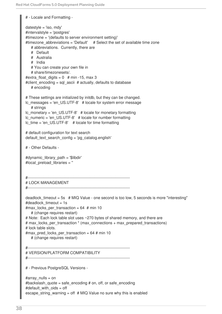# - Locale and Formatting -

```
datestyle = 'iso, mdy'
#intervalstyle = 'postgres'
#timezone = '(defaults to server environment setting)'
#timezone_abbreviations = 'Default' # Select the set of available time zone
   # abbreviations. Currently, there are
   # Default
   # Australia
   # India
   # You can create your own file in
   # share/timezonesets/.
#extra_float_digits = 0 # min -15, max 3
#client_encoding = sql_ascii # actually, defaults to database
   # encoding
# These settings are initialized by initdb, but they can be changed.
lc_messages = 'en_US.UTF-8' # locale for system error message
   # strings
lc_monetary = 'en_US.UTF-8' # locale for monetary formatting
lc_numeric = 'en_US.UTF-8' # locale for number formatting
lc_time = 'en_US.UTF-8' \# locale for time formatting
# default configuration for text search
default text search config = 'pg_catalog.english'
# - Other Defaults -
#dynamic_library_path = '$libdir'
#local preload libraries = "
#------------------------------------------------------------------------------
# LOCK MANAGEMENT
#------------------------------------------------------------------------------
deadlock timeout = 5s # MIQ Value - one second is too low, 5 seconds is more "interesting"
#deadlock timeout = 1s#max locks per transaction = 64 # min 10
   # (change requires restart)
# Note: Each lock table slot uses ~270 bytes of shared memory, and there are
# max_locks_per_transaction * (max_connections + max_prepared_transactions)
# lock table slots.
#max pred locks per transaction = 64 # min 10
   # (change requires restart)
#------------------------------------------------------------------------------
# VERSION/PLATFORM COMPATIBILITY
#------------------------------------------------------------------------------
# - Previous PostgreSQL Versions -
#array nulls = on
#backslash_quote = safe_encoding # on, off, or safe_encoding
#default_with_oids = offescape string warning = off # MIQ Value no sure why this is enabled
```